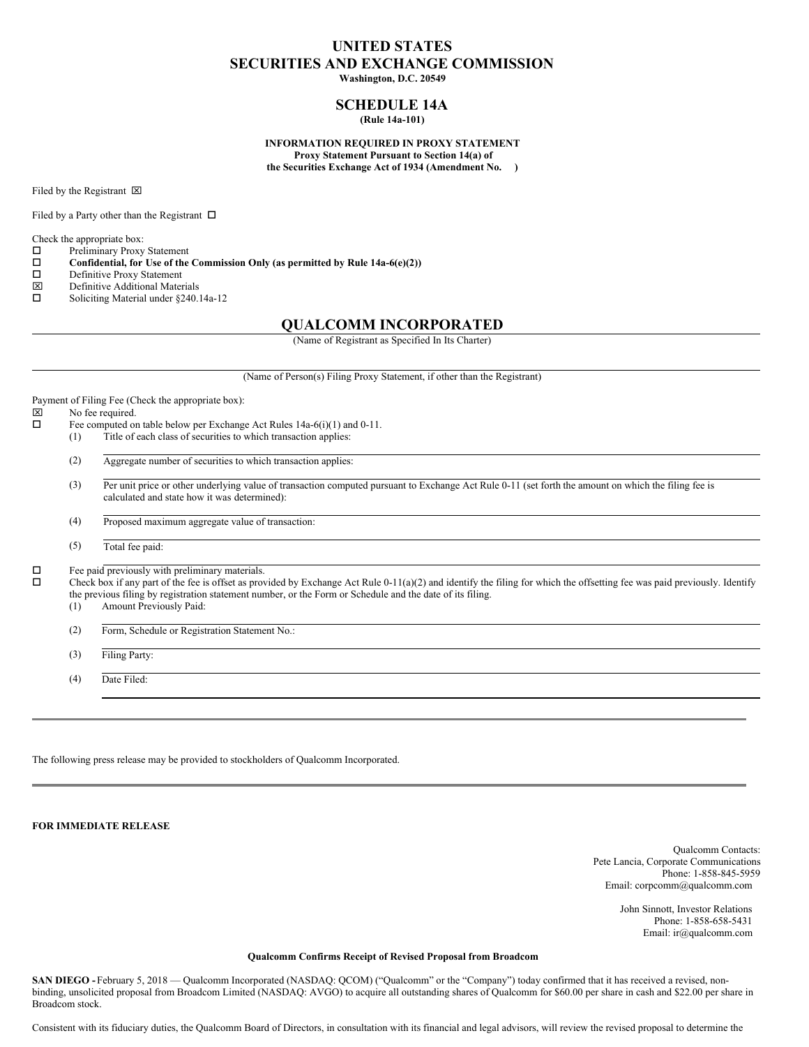# **UNITED STATES SECURITIES AND EXCHANGE COMMISSION**

**Washington, D.C. 20549**

## **SCHEDULE 14A (Rule 14a-101)**

**INFORMATION REQUIRED IN PROXY STATEMENT Proxy Statement Pursuant to Section 14(a) of the Securities Exchange Act of 1934 (Amendment No. )**

Filed by the Registrant  $\boxtimes$ 

Filed by a Party other than the Registrant  $\Box$ 

Check the appropriate box:

- $\square$  Preliminary Proxy Statement<br> $\square$  Confidential, for Use of the
- **Confidential, for** Use of the Commission Only (as permitted by Rule 14a-6(e)(2))  $\Box$  Definitive Proxy Statement
- $\square$  Definitive Proxy Statement<br> $\square$  Definitive Additional Mater
- $\boxtimes$  Definitive Additional Materials<br>  $\square$  Soliciting Material under 8240.
- Soliciting Material under §240.14a-12

# **QUALCOMM INCORPORATED**

(Name of Registrant as Specified In Its Charter)

|        |     | (Name of Person(s) Filing Proxy Statement, if other than the Registrant)                                                                                                                                                                                                                                                                                               |  |  |  |  |
|--------|-----|------------------------------------------------------------------------------------------------------------------------------------------------------------------------------------------------------------------------------------------------------------------------------------------------------------------------------------------------------------------------|--|--|--|--|
| ×<br>◻ |     | Payment of Filing Fee (Check the appropriate box):<br>No fee required.<br>Fee computed on table below per Exchange Act Rules $14a-6(i)(1)$ and $0-11$ .                                                                                                                                                                                                                |  |  |  |  |
|        | (1) | Title of each class of securities to which transaction applies:                                                                                                                                                                                                                                                                                                        |  |  |  |  |
|        | (2) | Aggregate number of securities to which transaction applies:                                                                                                                                                                                                                                                                                                           |  |  |  |  |
|        | (3) | Per unit price or other underlying value of transaction computed pursuant to Exchange Act Rule 0-11 (set forth the amount on which the filing fee is<br>calculated and state how it was determined):                                                                                                                                                                   |  |  |  |  |
|        | (4) | Proposed maximum aggregate value of transaction:                                                                                                                                                                                                                                                                                                                       |  |  |  |  |
|        | (5) | Total fee paid:                                                                                                                                                                                                                                                                                                                                                        |  |  |  |  |
| □<br>□ | (1) | Fee paid previously with preliminary materials.<br>Check box if any part of the fee is offset as provided by Exchange Act Rule $0-11(a)(2)$ and identify the filing for which the offsetting fee was paid previously. Identify<br>the previous filing by registration statement number, or the Form or Schedule and the date of its filing.<br>Amount Previously Paid: |  |  |  |  |
|        | (2) | Form, Schedule or Registration Statement No.:                                                                                                                                                                                                                                                                                                                          |  |  |  |  |
|        | (3) | Filing Party:                                                                                                                                                                                                                                                                                                                                                          |  |  |  |  |
|        | (4) | Date Filed:                                                                                                                                                                                                                                                                                                                                                            |  |  |  |  |

The following press release may be provided to stockholders of Qualcomm Incorporated.

**FOR IMMEDIATE RELEASE**

Qualcomm Contacts: Pete Lancia, Corporate Communications Phone: 1-858-845-5959 Email: corpcomm@qualcomm.com

> John Sinnott, Investor Relations Phone: 1-858-658-5431 Email: ir@qualcomm.com

#### **Qualcomm Confirms Receipt of Revised Proposal from Broadcom**

SAN DIEGO - February 5, 2018 — Qualcomm Incorporated (NASDAQ: QCOM) ("Qualcomm" or the "Company") today confirmed that it has received a revised, nonbinding, unsolicited proposal from Broadcom Limited (NASDAQ: AVGO) to acquire all outstanding shares of Qualcomm for \$60.00 per share in cash and \$22.00 per share in Broadcom stock.

Consistent with its fiduciary duties, the Qualcomm Board of Directors, in consultation with its financial and legal advisors, will review the revised proposal to determine the